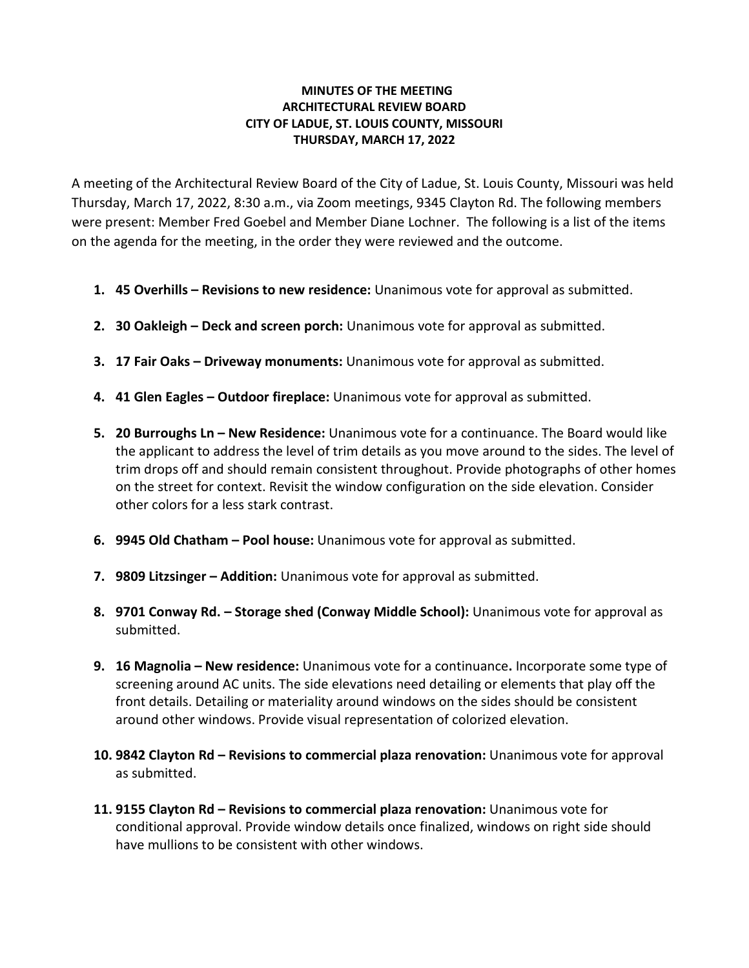## **MINUTES OF THE MEETING ARCHITECTURAL REVIEW BOARD CITY OF LADUE, ST. LOUIS COUNTY, MISSOURI THURSDAY, MARCH 17, 2022**

A meeting of the Architectural Review Board of the City of Ladue, St. Louis County, Missouri was held Thursday, March 17, 2022, 8:30 a.m., via Zoom meetings, 9345 Clayton Rd. The following members were present: Member Fred Goebel and Member Diane Lochner. The following is a list of the items on the agenda for the meeting, in the order they were reviewed and the outcome.

- **1. 45 Overhills – Revisions to new residence:** Unanimous vote for approval as submitted.
- **2. 30 Oakleigh – Deck and screen porch:** Unanimous vote for approval as submitted.
- **3. 17 Fair Oaks – Driveway monuments:** Unanimous vote for approval as submitted.
- **4. 41 Glen Eagles – Outdoor fireplace:** Unanimous vote for approval as submitted.
- **5. 20 Burroughs Ln – New Residence:** Unanimous vote for a continuance. The Board would like the applicant to address the level of trim details as you move around to the sides. The level of trim drops off and should remain consistent throughout. Provide photographs of other homes on the street for context. Revisit the window configuration on the side elevation. Consider other colors for a less stark contrast.
- **6. 9945 Old Chatham – Pool house:** Unanimous vote for approval as submitted.
- **7. 9809 Litzsinger – Addition:** Unanimous vote for approval as submitted.
- **8. 9701 Conway Rd. – Storage shed (Conway Middle School):** Unanimous vote for approval as submitted.
- **9. 16 Magnolia – New residence:** Unanimous vote for a continuance**.** Incorporate some type of screening around AC units. The side elevations need detailing or elements that play off the front details. Detailing or materiality around windows on the sides should be consistent around other windows. Provide visual representation of colorized elevation.
- **10. 9842 Clayton Rd – Revisions to commercial plaza renovation:** Unanimous vote for approval as submitted.
- **11. 9155 Clayton Rd – Revisions to commercial plaza renovation:** Unanimous vote for conditional approval. Provide window details once finalized, windows on right side should have mullions to be consistent with other windows.